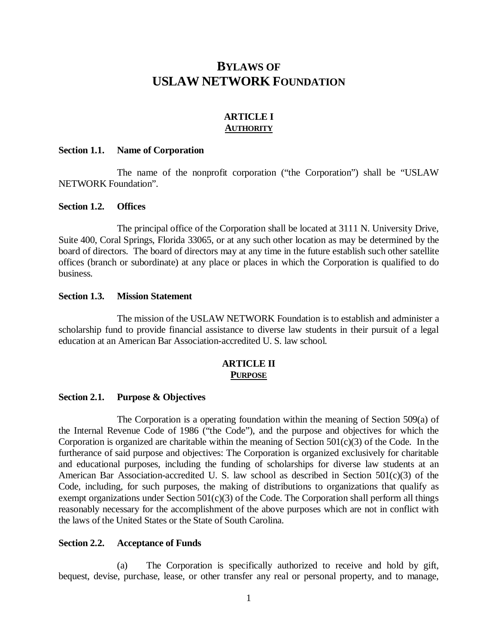# **BYLAWS OF USLAW NETWORK FOUNDATION**

# **ARTICLE I AUTHORITY**

#### **Section 1.1. Name of Corporation**

The name of the nonprofit corporation ("the Corporation") shall be "USLAW NETWORK Foundation".

#### **Section 1.2. Offices**

The principal office of the Corporation shall be located at 3111 N. University Drive, Suite 400, Coral Springs, Florida 33065, or at any such other location as may be determined by the board of directors. The board of directors may at any time in the future establish such other satellite offices (branch or subordinate) at any place or places in which the Corporation is qualified to do business.

#### **Section 1.3. Mission Statement**

The mission of the USLAW NETWORK Foundation is to establish and administer a scholarship fund to provide financial assistance to diverse law students in their pursuit of a legal education at an American Bar Association-accredited U. S. law school.

#### **ARTICLE II PURPOSE**

#### **Section 2.1. Purpose & Objectives**

The Corporation is a operating foundation within the meaning of Section 509(a) of the Internal Revenue Code of 1986 ("the Code"), and the purpose and objectives for which the Corporation is organized are charitable within the meaning of Section  $501(c)(3)$  of the Code. In the furtherance of said purpose and objectives: The Corporation is organized exclusively for charitable and educational purposes, including the funding of scholarships for diverse law students at an American Bar Association-accredited U. S. law school as described in Section 501(c)(3) of the Code, including, for such purposes, the making of distributions to organizations that qualify as exempt organizations under Section  $501(c)(3)$  of the Code. The Corporation shall perform all things reasonably necessary for the accomplishment of the above purposes which are not in conflict with the laws of the United States or the State of South Carolina.

#### **Section 2.2. Acceptance of Funds**

(a) The Corporation is specifically authorized to receive and hold by gift, bequest, devise, purchase, lease, or other transfer any real or personal property, and to manage,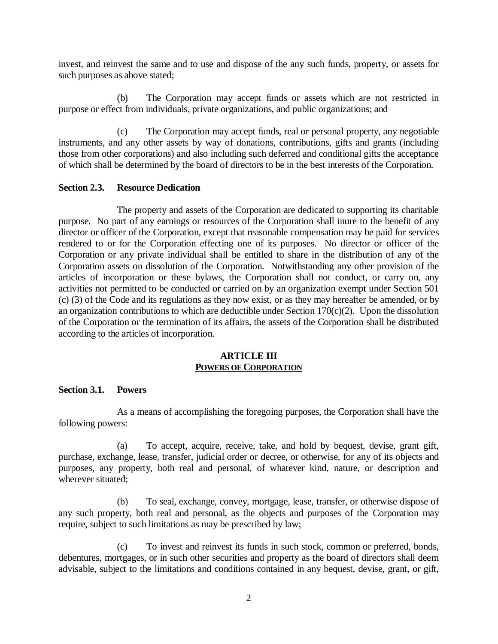invest, and reinvest the same and to use and dispose of the any such funds, property, or assets for such purposes as above stated;

(b) The Corporation may accept funds or assets which are not restricted in purpose or effect from individuals, private organizations, and public organizations; and

(c) The Corporation may accept funds, real or personal property, any negotiable instruments, and any other assets by way of donations, contributions, gifts and grants (including those from other corporations) and also including such deferred and conditional gifts the acceptance of which shall be determined by the board of directors to be in the best interests of the Corporation.

### **Section 2.3. Resource Dedication**

The property and assets of the Corporation are dedicated to supporting its charitable purpose. No part of any earnings or resources of the Corporation shall inure to the benefit of any director or officer of the Corporation, except that reasonable compensation may be paid for services rendered to or for the Corporation effecting one of its purposes. No director or officer of the Corporation or any private individual shall be entitled to share in the distribution of any of the Corporation assets on dissolution of the Corporation. Notwithstanding any other provision of the articles of incorporation or these bylaws, the Corporation shall not conduct, or carry on, any activities not permitted to be conducted or carried on by an organization exempt under Section 501 (c) (3) of the Code and its regulations as they now exist, or as they may hereafter be amended, or by an organization contributions to which are deductible under Section  $170(c)(2)$ . Upon the dissolution of the Corporation or the termination of its affairs, the assets of the Corporation shall be distributed according to the articles of incorporation.

### **ARTICLE III POWERS OF CORPORATION**

### **Section 3.1. Powers**

As a means of accomplishing the foregoing purposes, the Corporation shall have the following powers:

(a) To accept, acquire, receive, take, and hold by bequest, devise, grant gift, purchase, exchange, lease, transfer, judicial order or decree, or otherwise, for any of its objects and purposes, any property, both real and personal, of whatever kind, nature, or description and wherever situated;

(b) To seal, exchange, convey, mortgage, lease, transfer, or otherwise dispose of any such property, both real and personal, as the objects and purposes of the Corporation may require, subject to such limitations as may be prescribed by law;

(c) To invest and reinvest its funds in such stock, common or preferred, bonds, debentures, mortgages, or in such other securities and property as the board of directors shall deem advisable, subject to the limitations and conditions contained in any bequest, devise, grant, or gift,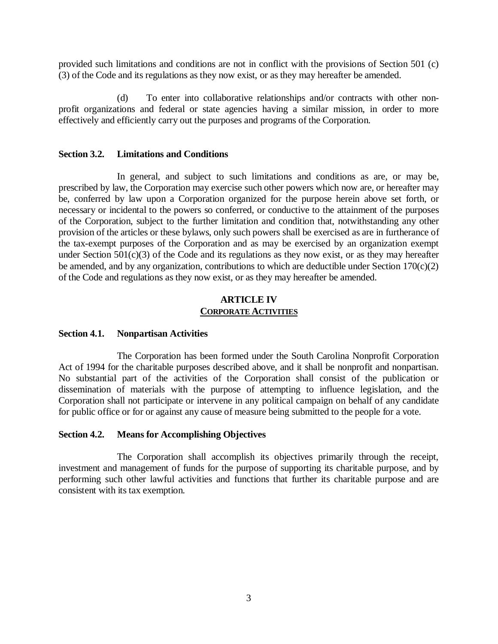provided such limitations and conditions are not in conflict with the provisions of Section 501 (c) (3) of the Code and its regulations as they now exist, or as they may hereafter be amended.

(d) To enter into collaborative relationships and/or contracts with other nonprofit organizations and federal or state agencies having a similar mission, in order to more effectively and efficiently carry out the purposes and programs of the Corporation.

### **Section 3.2. Limitations and Conditions**

In general, and subject to such limitations and conditions as are, or may be, prescribed by law, the Corporation may exercise such other powers which now are, or hereafter may be, conferred by law upon a Corporation organized for the purpose herein above set forth, or necessary or incidental to the powers so conferred, or conductive to the attainment of the purposes of the Corporation, subject to the further limitation and condition that, notwithstanding any other provision of the articles or these bylaws, only such powers shall be exercised as are in furtherance of the tax-exempt purposes of the Corporation and as may be exercised by an organization exempt under Section 501(c)(3) of the Code and its regulations as they now exist, or as they may hereafter be amended, and by any organization, contributions to which are deductible under Section  $170(c)(2)$ of the Code and regulations as they now exist, or as they may hereafter be amended.

#### **ARTICLE IV CORPORATE ACTIVITIES**

#### **Section 4.1. Nonpartisan Activities**

The Corporation has been formed under the South Carolina Nonprofit Corporation Act of 1994 for the charitable purposes described above, and it shall be nonprofit and nonpartisan. No substantial part of the activities of the Corporation shall consist of the publication or dissemination of materials with the purpose of attempting to influence legislation, and the Corporation shall not participate or intervene in any political campaign on behalf of any candidate for public office or for or against any cause of measure being submitted to the people for a vote.

#### **Section 4.2. Means for Accomplishing Objectives**

The Corporation shall accomplish its objectives primarily through the receipt, investment and management of funds for the purpose of supporting its charitable purpose, and by performing such other lawful activities and functions that further its charitable purpose and are consistent with its tax exemption.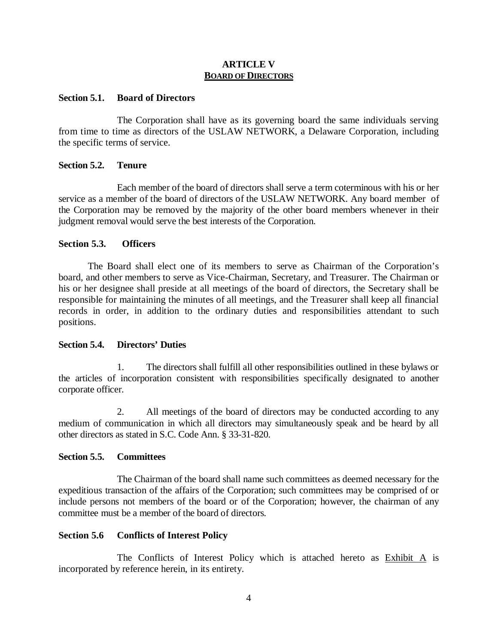### **ARTICLE V BOARD OF DIRECTORS**

### **Section 5.1. Board of Directors**

The Corporation shall have as its governing board the same individuals serving from time to time as directors of the USLAW NETWORK, a Delaware Corporation, including the specific terms of service.

#### **Section 5.2. Tenure**

Each member of the board of directors shall serve a term coterminous with his or her service as a member of the board of directors of the USLAW NETWORK. Any board member of the Corporation may be removed by the majority of the other board members whenever in their judgment removal would serve the best interests of the Corporation.

#### **Section 5.3. Officers**

The Board shall elect one of its members to serve as Chairman of the Corporation's board, and other members to serve as Vice-Chairman, Secretary, and Treasurer. The Chairman or his or her designee shall preside at all meetings of the board of directors, the Secretary shall be responsible for maintaining the minutes of all meetings, and the Treasurer shall keep all financial records in order, in addition to the ordinary duties and responsibilities attendant to such positions.

#### **Section 5.4. Directors' Duties**

1. The directors shall fulfill all other responsibilities outlined in these bylaws or the articles of incorporation consistent with responsibilities specifically designated to another corporate officer.

2. All meetings of the board of directors may be conducted according to any medium of communication in which all directors may simultaneously speak and be heard by all other directors as stated in S.C. Code Ann. § 33-31-820.

### **Section 5.5. Committees**

The Chairman of the board shall name such committees as deemed necessary for the expeditious transaction of the affairs of the Corporation; such committees may be comprised of or include persons not members of the board or of the Corporation; however, the chairman of any committee must be a member of the board of directors.

### **Section 5.6 Conflicts of Interest Policy**

The Conflicts of Interest Policy which is attached hereto as Exhibit A is incorporated by reference herein, in its entirety.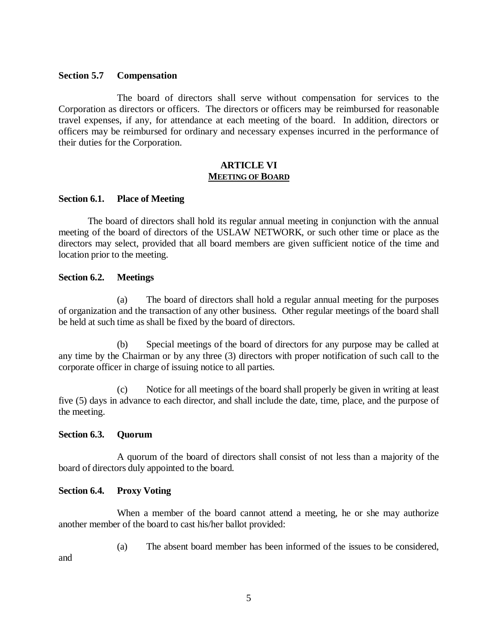### **Section 5.7 Compensation**

The board of directors shall serve without compensation for services to the Corporation as directors or officers. The directors or officers may be reimbursed for reasonable travel expenses, if any, for attendance at each meeting of the board. In addition, directors or officers may be reimbursed for ordinary and necessary expenses incurred in the performance of their duties for the Corporation.

### **ARTICLE VI MEETING OF BOARD**

#### **Section 6.1. Place of Meeting**

The board of directors shall hold its regular annual meeting in conjunction with the annual meeting of the board of directors of the USLAW NETWORK, or such other time or place as the directors may select, provided that all board members are given sufficient notice of the time and location prior to the meeting.

#### **Section 6.2. Meetings**

(a) The board of directors shall hold a regular annual meeting for the purposes of organization and the transaction of any other business. Other regular meetings of the board shall be held at such time as shall be fixed by the board of directors.

(b) Special meetings of the board of directors for any purpose may be called at any time by the Chairman or by any three (3) directors with proper notification of such call to the corporate officer in charge of issuing notice to all parties.

(c) Notice for all meetings of the board shall properly be given in writing at least five (5) days in advance to each director, and shall include the date, time, place, and the purpose of the meeting.

#### **Section 6.3. Quorum**

A quorum of the board of directors shall consist of not less than a majority of the board of directors duly appointed to the board.

### **Section 6.4. Proxy Voting**

When a member of the board cannot attend a meeting, he or she may authorize another member of the board to cast his/her ballot provided:

(a) The absent board member has been informed of the issues to be considered,

and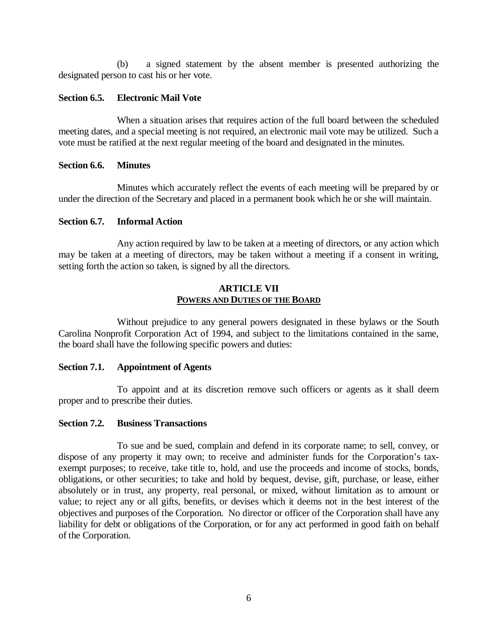(b) a signed statement by the absent member is presented authorizing the designated person to cast his or her vote.

### **Section 6.5. Electronic Mail Vote**

When a situation arises that requires action of the full board between the scheduled meeting dates, and a special meeting is not required, an electronic mail vote may be utilized. Such a vote must be ratified at the next regular meeting of the board and designated in the minutes.

### **Section 6.6. Minutes**

Minutes which accurately reflect the events of each meeting will be prepared by or under the direction of the Secretary and placed in a permanent book which he or she will maintain.

### **Section 6.7. Informal Action**

Any action required by law to be taken at a meeting of directors, or any action which may be taken at a meeting of directors, may be taken without a meeting if a consent in writing, setting forth the action so taken, is signed by all the directors.

### **ARTICLE VII POWERS AND DUTIES OF THE BOARD**

Without prejudice to any general powers designated in these bylaws or the South Carolina Nonprofit Corporation Act of 1994, and subject to the limitations contained in the same, the board shall have the following specific powers and duties:

### **Section 7.1. Appointment of Agents**

To appoint and at its discretion remove such officers or agents as it shall deem proper and to prescribe their duties.

### **Section 7.2. Business Transactions**

To sue and be sued, complain and defend in its corporate name; to sell, convey, or dispose of any property it may own; to receive and administer funds for the Corporation's taxexempt purposes; to receive, take title to, hold, and use the proceeds and income of stocks, bonds, obligations, or other securities; to take and hold by bequest, devise, gift, purchase, or lease, either absolutely or in trust, any property, real personal, or mixed, without limitation as to amount or value; to reject any or all gifts, benefits, or devises which it deems not in the best interest of the objectives and purposes of the Corporation. No director or officer of the Corporation shall have any liability for debt or obligations of the Corporation, or for any act performed in good faith on behalf of the Corporation.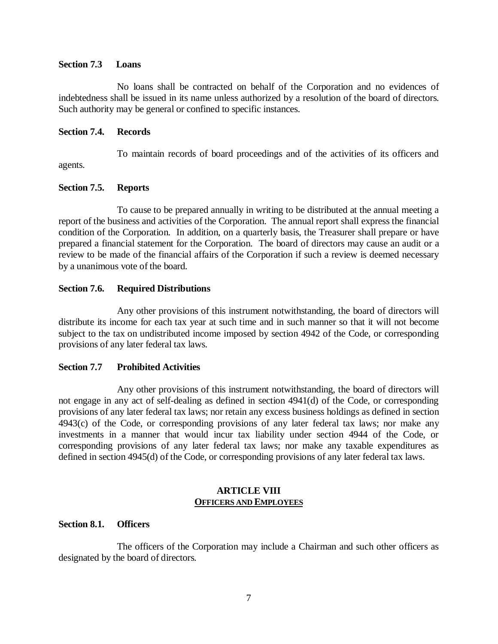#### **Section 7.3 Loans**

No loans shall be contracted on behalf of the Corporation and no evidences of indebtedness shall be issued in its name unless authorized by a resolution of the board of directors. Such authority may be general or confined to specific instances.

#### **Section 7.4. Records**

To maintain records of board proceedings and of the activities of its officers and

agents.

#### **Section 7.5. Reports**

To cause to be prepared annually in writing to be distributed at the annual meeting a report of the business and activities of the Corporation. The annual report shall express the financial condition of the Corporation. In addition, on a quarterly basis, the Treasurer shall prepare or have prepared a financial statement for the Corporation. The board of directors may cause an audit or a review to be made of the financial affairs of the Corporation if such a review is deemed necessary by a unanimous vote of the board.

### **Section 7.6. Required Distributions**

Any other provisions of this instrument notwithstanding, the board of directors will distribute its income for each tax year at such time and in such manner so that it will not become subject to the tax on undistributed income imposed by section 4942 of the Code, or corresponding provisions of any later federal tax laws.

### **Section 7.7 Prohibited Activities**

Any other provisions of this instrument notwithstanding, the board of directors will not engage in any act of self-dealing as defined in section 4941(d) of the Code, or corresponding provisions of any later federal tax laws; nor retain any excess business holdings as defined in section 4943(c) of the Code, or corresponding provisions of any later federal tax laws; nor make any investments in a manner that would incur tax liability under section 4944 of the Code, or corresponding provisions of any later federal tax laws; nor make any taxable expenditures as defined in section 4945(d) of the Code, or corresponding provisions of any later federal tax laws.

### **ARTICLE VIII OFFICERS AND EMPLOYEES**

#### **Section 8.1. Officers**

The officers of the Corporation may include a Chairman and such other officers as designated by the board of directors.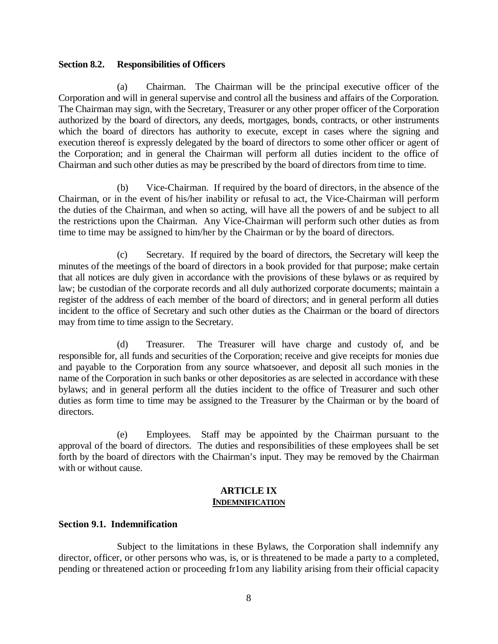### **Section 8.2. Responsibilities of Officers**

(a) Chairman. The Chairman will be the principal executive officer of the Corporation and will in general supervise and control all the business and affairs of the Corporation. The Chairman may sign, with the Secretary, Treasurer or any other proper officer of the Corporation authorized by the board of directors, any deeds, mortgages, bonds, contracts, or other instruments which the board of directors has authority to execute, except in cases where the signing and execution thereof is expressly delegated by the board of directors to some other officer or agent of the Corporation; and in general the Chairman will perform all duties incident to the office of Chairman and such other duties as may be prescribed by the board of directors from time to time.

(b) Vice-Chairman. If required by the board of directors, in the absence of the Chairman, or in the event of his/her inability or refusal to act, the Vice-Chairman will perform the duties of the Chairman, and when so acting, will have all the powers of and be subject to all the restrictions upon the Chairman. Any Vice-Chairman will perform such other duties as from time to time may be assigned to him/her by the Chairman or by the board of directors.

(c) Secretary. If required by the board of directors, the Secretary will keep the minutes of the meetings of the board of directors in a book provided for that purpose; make certain that all notices are duly given in accordance with the provisions of these bylaws or as required by law; be custodian of the corporate records and all duly authorized corporate documents; maintain a register of the address of each member of the board of directors; and in general perform all duties incident to the office of Secretary and such other duties as the Chairman or the board of directors may from time to time assign to the Secretary.

(d) Treasurer. The Treasurer will have charge and custody of, and be responsible for, all funds and securities of the Corporation; receive and give receipts for monies due and payable to the Corporation from any source whatsoever, and deposit all such monies in the name of the Corporation in such banks or other depositories as are selected in accordance with these bylaws; and in general perform all the duties incident to the office of Treasurer and such other duties as form time to time may be assigned to the Treasurer by the Chairman or by the board of directors.

(e) Employees. Staff may be appointed by the Chairman pursuant to the approval of the board of directors. The duties and responsibilities of these employees shall be set forth by the board of directors with the Chairman's input. They may be removed by the Chairman with or without cause.

#### **ARTICLE IX INDEMNIFICATION**

### **Section 9.1. Indemnification**

Subject to the limitations in these Bylaws, the Corporation shall indemnify any director, officer, or other persons who was, is, or is threatened to be made a party to a completed, pending or threatened action or proceeding fr1om any liability arising from their official capacity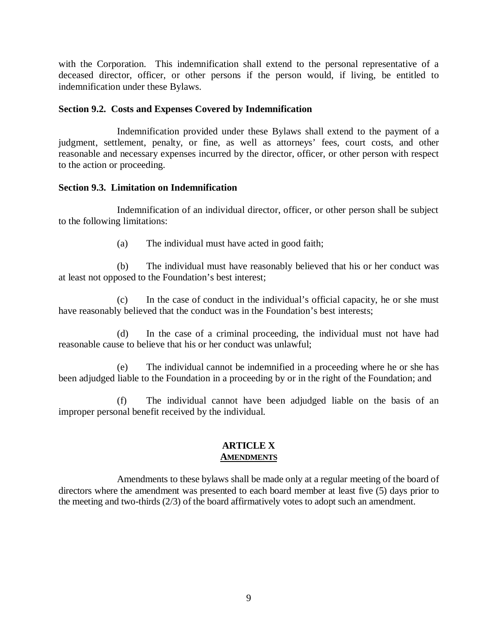with the Corporation. This indemnification shall extend to the personal representative of a deceased director, officer, or other persons if the person would, if living, be entitled to indemnification under these Bylaws.

### **Section 9.2. Costs and Expenses Covered by Indemnification**

Indemnification provided under these Bylaws shall extend to the payment of a judgment, settlement, penalty, or fine, as well as attorneys' fees, court costs, and other reasonable and necessary expenses incurred by the director, officer, or other person with respect to the action or proceeding.

### **Section 9.3. Limitation on Indemnification**

Indemnification of an individual director, officer, or other person shall be subject to the following limitations:

(a) The individual must have acted in good faith;

(b) The individual must have reasonably believed that his or her conduct was at least not opposed to the Foundation's best interest;

(c) In the case of conduct in the individual's official capacity, he or she must have reasonably believed that the conduct was in the Foundation's best interests;

(d) In the case of a criminal proceeding, the individual must not have had reasonable cause to believe that his or her conduct was unlawful;

(e) The individual cannot be indemnified in a proceeding where he or she has been adjudged liable to the Foundation in a proceeding by or in the right of the Foundation; and

(f) The individual cannot have been adjudged liable on the basis of an improper personal benefit received by the individual.

### **ARTICLE X AMENDMENTS**

Amendments to these bylaws shall be made only at a regular meeting of the board of directors where the amendment was presented to each board member at least five (5) days prior to the meeting and two-thirds (2/3) of the board affirmatively votes to adopt such an amendment.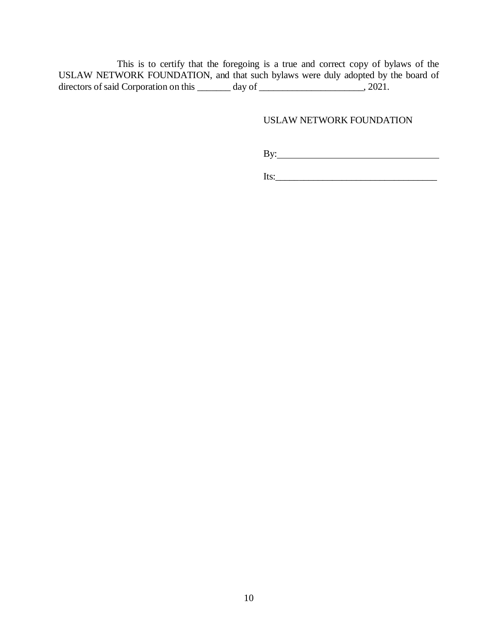This is to certify that the foregoing is a true and correct copy of bylaws of the USLAW NETWORK FOUNDATION, and that such bylaws were duly adopted by the board of directors of said Corporation on this \_\_\_\_\_\_\_ day of \_\_\_\_\_\_\_\_\_\_\_\_\_\_\_\_\_\_\_\_, 2021.

### USLAW NETWORK FOUNDATION

By:

 $Its:$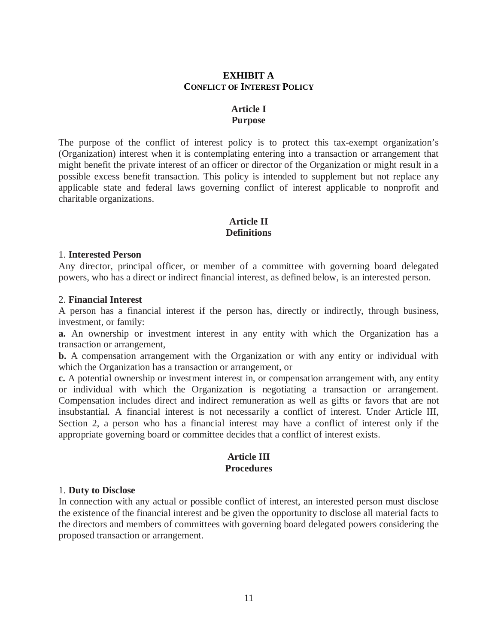# **EXHIBIT A CONFLICT OF INTEREST POLICY**

## **Article I Purpose**

The purpose of the conflict of interest policy is to protect this tax-exempt organization's (Organization) interest when it is contemplating entering into a transaction or arrangement that might benefit the private interest of an officer or director of the Organization or might result in a possible excess benefit transaction. This policy is intended to supplement but not replace any applicable state and federal laws governing conflict of interest applicable to nonprofit and charitable organizations.

# **Article II Definitions**

#### 1. **Interested Person**

Any director, principal officer, or member of a committee with governing board delegated powers, who has a direct or indirect financial interest, as defined below, is an interested person.

#### 2. **Financial Interest**

A person has a financial interest if the person has, directly or indirectly, through business, investment, or family:

**a.** An ownership or investment interest in any entity with which the Organization has a transaction or arrangement,

**b.** A compensation arrangement with the Organization or with any entity or individual with which the Organization has a transaction or arrangement, or

**c.** A potential ownership or investment interest in, or compensation arrangement with, any entity or individual with which the Organization is negotiating a transaction or arrangement. Compensation includes direct and indirect remuneration as well as gifts or favors that are not insubstantial. A financial interest is not necessarily a conflict of interest. Under Article III, Section 2, a person who has a financial interest may have a conflict of interest only if the appropriate governing board or committee decides that a conflict of interest exists.

### **Article III Procedures**

#### 1. **Duty to Disclose**

In connection with any actual or possible conflict of interest, an interested person must disclose the existence of the financial interest and be given the opportunity to disclose all material facts to the directors and members of committees with governing board delegated powers considering the proposed transaction or arrangement.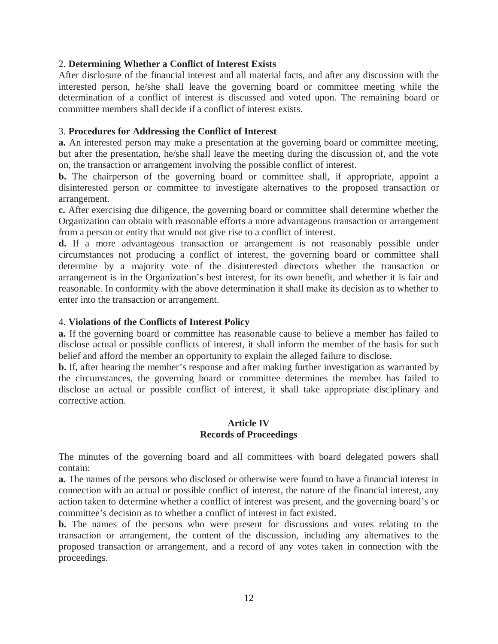### 2. **Determining Whether a Conflict of Interest Exists**

After disclosure of the financial interest and all material facts, and after any discussion with the interested person, he/she shall leave the governing board or committee meeting while the determination of a conflict of interest is discussed and voted upon. The remaining board or committee members shall decide if a conflict of interest exists.

### 3. **Procedures for Addressing the Conflict of Interest**

**a.** An interested person may make a presentation at the governing board or committee meeting, but after the presentation, he/she shall leave the meeting during the discussion of, and the vote on, the transaction or arrangement involving the possible conflict of interest.

**b.** The chairperson of the governing board or committee shall, if appropriate, appoint a disinterested person or committee to investigate alternatives to the proposed transaction or arrangement.

**c.** After exercising due diligence, the governing board or committee shall determine whether the Organization can obtain with reasonable efforts a more advantageous transaction or arrangement from a person or entity that would not give rise to a conflict of interest.

**d.** If a more advantageous transaction or arrangement is not reasonably possible under circumstances not producing a conflict of interest, the governing board or committee shall determine by a majority vote of the disinterested directors whether the transaction or arrangement is in the Organization's best interest, for its own benefit, and whether it is fair and reasonable. In conformity with the above determination it shall make its decision as to whether to enter into the transaction or arrangement.

### 4. **Violations of the Conflicts of Interest Policy**

**a.** If the governing board or committee has reasonable cause to believe a member has failed to disclose actual or possible conflicts of interest, it shall inform the member of the basis for such belief and afford the member an opportunity to explain the alleged failure to disclose.

**b.** If, after hearing the member's response and after making further investigation as warranted by the circumstances, the governing board or committee determines the member has failed to disclose an actual or possible conflict of interest, it shall take appropriate disciplinary and corrective action.

### **Article IV Records of Proceedings**

The minutes of the governing board and all committees with board delegated powers shall contain:

**a.** The names of the persons who disclosed or otherwise were found to have a financial interest in connection with an actual or possible conflict of interest, the nature of the financial interest, any action taken to determine whether a conflict of interest was present, and the governing board's or committee's decision as to whether a conflict of interest in fact existed.

**b.** The names of the persons who were present for discussions and votes relating to the transaction or arrangement, the content of the discussion, including any alternatives to the proposed transaction or arrangement, and a record of any votes taken in connection with the proceedings.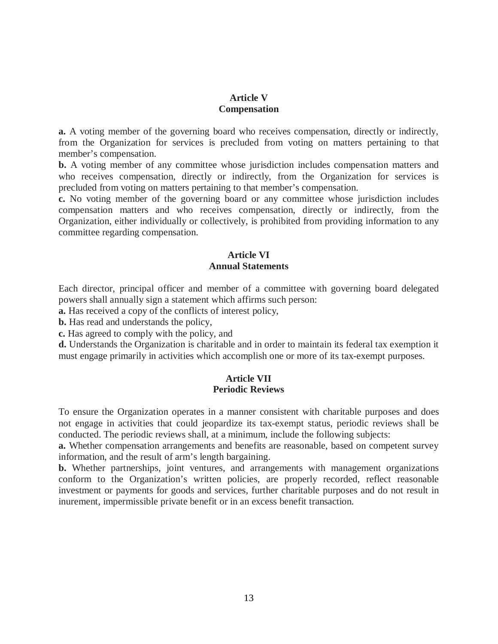### **Article V Compensation**

**a.** A voting member of the governing board who receives compensation, directly or indirectly, from the Organization for services is precluded from voting on matters pertaining to that member's compensation.

**b.** A voting member of any committee whose jurisdiction includes compensation matters and who receives compensation, directly or indirectly, from the Organization for services is precluded from voting on matters pertaining to that member's compensation.

**c.** No voting member of the governing board or any committee whose jurisdiction includes compensation matters and who receives compensation, directly or indirectly, from the Organization, either individually or collectively, is prohibited from providing information to any committee regarding compensation.

### **Article VI Annual Statements**

Each director, principal officer and member of a committee with governing board delegated powers shall annually sign a statement which affirms such person:

**a.** Has received a copy of the conflicts of interest policy,

**b.** Has read and understands the policy,

**c.** Has agreed to comply with the policy, and

**d.** Understands the Organization is charitable and in order to maintain its federal tax exemption it must engage primarily in activities which accomplish one or more of its tax-exempt purposes.

### **Article VII Periodic Reviews**

To ensure the Organization operates in a manner consistent with charitable purposes and does not engage in activities that could jeopardize its tax-exempt status, periodic reviews shall be conducted. The periodic reviews shall, at a minimum, include the following subjects:

**a.** Whether compensation arrangements and benefits are reasonable, based on competent survey information, and the result of arm's length bargaining.

**b.** Whether partnerships, joint ventures, and arrangements with management organizations conform to the Organization's written policies, are properly recorded, reflect reasonable investment or payments for goods and services, further charitable purposes and do not result in inurement, impermissible private benefit or in an excess benefit transaction.